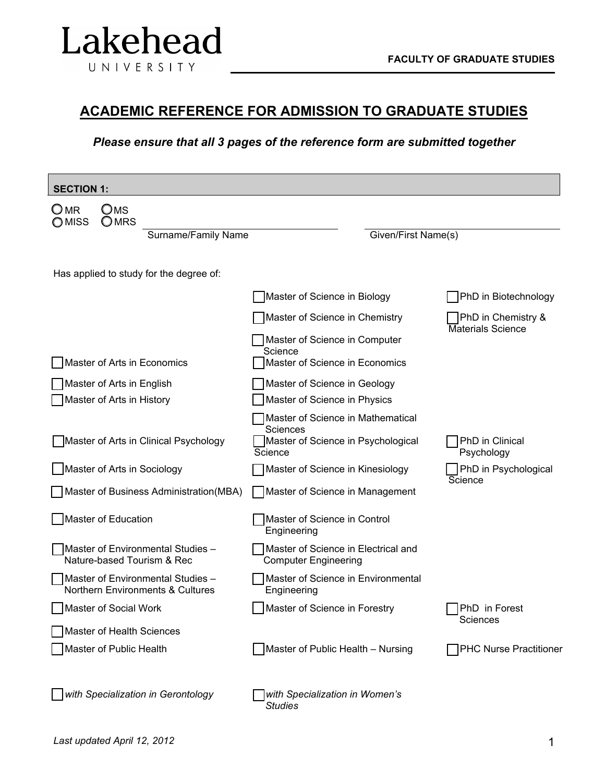

# **ACADEMIC REFERENCE FOR ADMISSION TO GRADUATE STUDIES**

## *Please ensure that all 3 pages of the reference form are submitted together*

| <b>SECTION 1:</b>                                                     |                                                                                                       |                                                |  |  |
|-----------------------------------------------------------------------|-------------------------------------------------------------------------------------------------------|------------------------------------------------|--|--|
| $\Box$ MR<br>Oms<br>OMRS<br>OMISS                                     |                                                                                                       |                                                |  |  |
| Surname/Family Name                                                   | Given/First Name(s)                                                                                   |                                                |  |  |
|                                                                       |                                                                                                       |                                                |  |  |
| Has applied to study for the degree of:                               |                                                                                                       |                                                |  |  |
|                                                                       | Master of Science in Biology                                                                          | PhD in Biotechnology                           |  |  |
|                                                                       | Master of Science in Chemistry                                                                        | PhD in Chemistry &<br><b>Materials Science</b> |  |  |
|                                                                       | Master of Science in Computer                                                                         |                                                |  |  |
| Master of Arts in Economics                                           | Science<br>Master of Science in Economics                                                             |                                                |  |  |
| Master of Arts in English                                             | Master of Science in Geology                                                                          |                                                |  |  |
| Master of Arts in History                                             | Master of Science in Physics                                                                          |                                                |  |  |
| Master of Arts in Clinical Psychology                                 | Master of Science in Mathematical<br><b>Sciences</b><br>Master of Science in Psychological<br>Science | PhD in Clinical<br>Psychology                  |  |  |
| Master of Arts in Sociology                                           | Master of Science in Kinesiology                                                                      | PhD in Psychological                           |  |  |
| Master of Business Administration (MBA)                               | Master of Science in Management                                                                       | Science                                        |  |  |
| Master of Education                                                   | Master of Science in Control<br>Engineering                                                           |                                                |  |  |
| Master of Environmental Studies -<br>Nature-based Tourism & Rec       | Master of Science in Electrical and<br><b>Computer Engineering</b>                                    |                                                |  |  |
| Master of Environmental Studies -<br>Northern Environments & Cultures | Master of Science in Environmental<br>Engineering                                                     |                                                |  |  |
| Master of Social Work                                                 | Master of Science in Forestry                                                                         | PhD in Forest                                  |  |  |
| Master of Health Sciences                                             |                                                                                                       | Sciences                                       |  |  |
| Master of Public Health                                               | Master of Public Health - Nursing                                                                     | <b>PHC Nurse Practitioner</b>                  |  |  |
| with Specialization in Gerontology                                    | with Specialization in Women's<br><b>Studies</b>                                                      |                                                |  |  |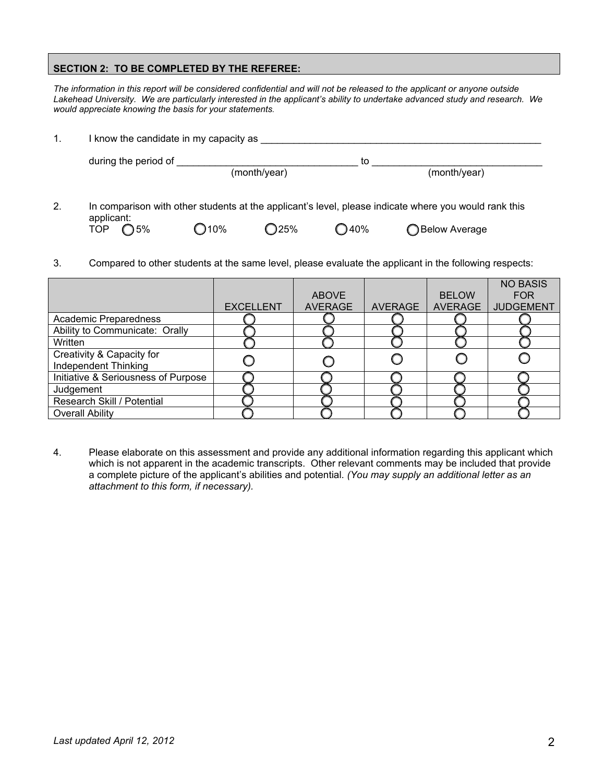#### **SECTION 2: TO BE COMPLETED BY THE REFEREE:**

*The information in this report will be considered confidential and will not be released to the applicant or anyone outside Lakehead University. We are particularly interested in the applicant's ability to undertake advanced study and research. We would appreciate knowing the basis for your statements.*

| 1. | I know the candidate in my capacity as                                                                |         |                |                |                 |  |
|----|-------------------------------------------------------------------------------------------------------|---------|----------------|----------------|-----------------|--|
|    | during the period of                                                                                  |         | (month/year)   | to             | (month/year)    |  |
| 2. | In comparison with other students at the applicant's level, please indicate where you would rank this |         |                |                |                 |  |
|    | applicant:<br>$\bigcap$ 5%<br><b>TOP</b>                                                              | $O$ 10% | $\bigcirc$ 25% | $\bigcirc$ 40% | ◯ Below Average |  |

3. Compared to other students at the same level, please evaluate the applicant in the following respects:

|                                     |                  |                |                |                | <b>NO BASIS</b>  |
|-------------------------------------|------------------|----------------|----------------|----------------|------------------|
|                                     |                  | <b>ABOVE</b>   |                | <b>BELOW</b>   | <b>FOR</b>       |
|                                     | <b>EXCELLENT</b> | <b>AVERAGE</b> | <b>AVERAGE</b> | <b>AVERAGE</b> | <b>JUDGEMENT</b> |
| Academic Preparedness               |                  |                |                |                |                  |
| Ability to Communicate: Orally      |                  |                |                |                |                  |
| Written                             |                  |                |                |                |                  |
| Creativity & Capacity for           |                  |                |                |                |                  |
| <b>Independent Thinking</b>         |                  |                |                |                |                  |
| Initiative & Seriousness of Purpose |                  |                |                |                |                  |
| Judgement                           |                  |                |                |                |                  |
| Research Skill / Potential          |                  |                |                |                |                  |
| <b>Overall Ability</b>              |                  |                |                |                |                  |

4. Please elaborate on this assessment and provide any additional information regarding this applicant which which is not apparent in the academic transcripts. Other relevant comments may be included that provide a complete picture of the applicant's abilities and potential. *(You may supply an additional letter as an attachment to this form, if necessary).*